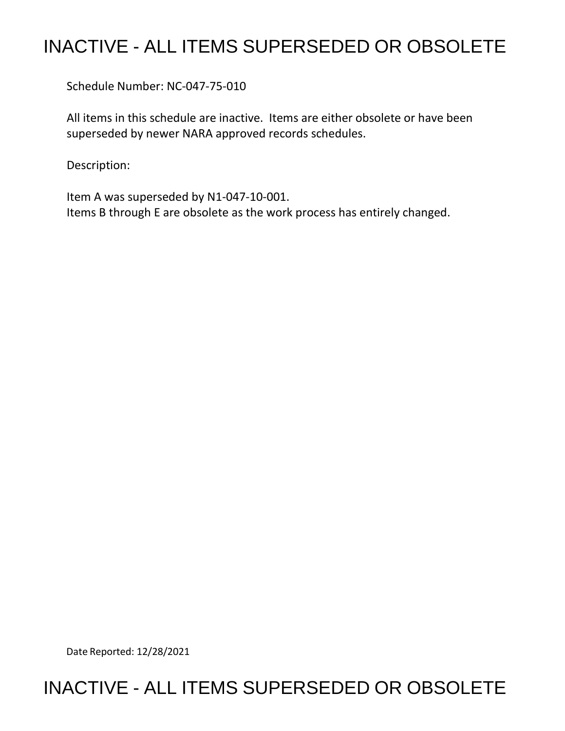## INACTIVE - ALL ITEMS SUPERSEDED OR OBSOLETE

Schedule Number: NC-047-75-010

All items in this schedule are inactive. Items are either obsolete or have been superseded by newer NARA approved records schedules.

Description:

Item A was superseded by N1-047-10-001. Items B through E are obsolete as the work process has entirely changed.

Date Reported: 12/28/2021

## INACTIVE - ALL ITEMS SUPERSEDED OR OBSOLETE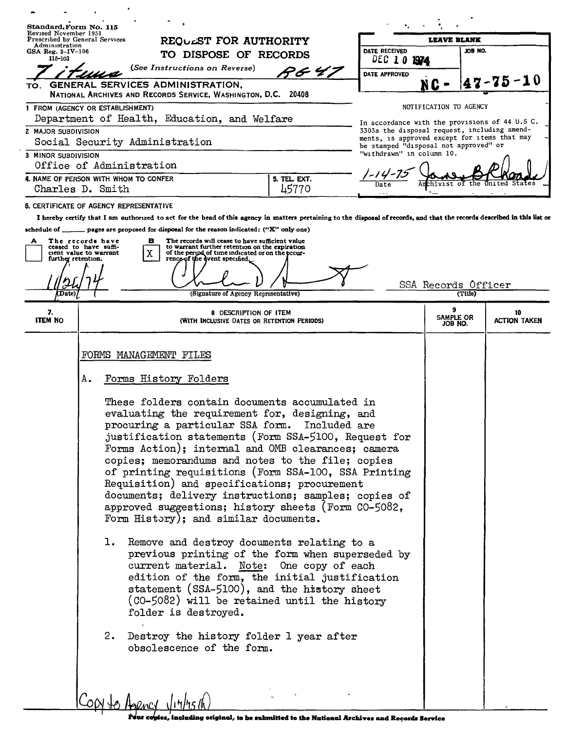|                                       | Standard Form No. 115<br>Revised November 1951<br>Prescribed by General Services                                                                                                                                                                                                                                                                                                                                                                                                                                                                                                                                                                                                                                                                                                                                                                                                                                                                                                                                               |                                                                                                                                       |                           |  |
|---------------------------------------|--------------------------------------------------------------------------------------------------------------------------------------------------------------------------------------------------------------------------------------------------------------------------------------------------------------------------------------------------------------------------------------------------------------------------------------------------------------------------------------------------------------------------------------------------------------------------------------------------------------------------------------------------------------------------------------------------------------------------------------------------------------------------------------------------------------------------------------------------------------------------------------------------------------------------------------------------------------------------------------------------------------------------------|---------------------------------------------------------------------------------------------------------------------------------------|---------------------------|--|
| Administration<br>GSA Reg. $3-IV-106$ | REQUEST FOR AUTHORITY<br>DATE RECEIVED                                                                                                                                                                                                                                                                                                                                                                                                                                                                                                                                                                                                                                                                                                                                                                                                                                                                                                                                                                                         | <b>LEAVE BLANK</b><br>JOB NO.                                                                                                         |                           |  |
| 115-103                               | TO DISPOSE OF RECORDS<br>DEC <sub>10</sub>                                                                                                                                                                                                                                                                                                                                                                                                                                                                                                                                                                                                                                                                                                                                                                                                                                                                                                                                                                                     | 1974                                                                                                                                  |                           |  |
|                                       | (See Instructions on Reverse)<br>7 S G<br>DATE APPROVED                                                                                                                                                                                                                                                                                                                                                                                                                                                                                                                                                                                                                                                                                                                                                                                                                                                                                                                                                                        |                                                                                                                                       |                           |  |
| TO.                                   | GENERAL SERVICES ADMINISTRATION,<br>NATIONAL ARCHIVES AND RECORDS SERVICE, WASHINGTON, D.C. 20408                                                                                                                                                                                                                                                                                                                                                                                                                                                                                                                                                                                                                                                                                                                                                                                                                                                                                                                              | N C                                                                                                                                   | 17-75-10                  |  |
|                                       | 1 FROM (AGENCY OR ESTABLISHMENT)<br>Department of Health, Education, and Welfare                                                                                                                                                                                                                                                                                                                                                                                                                                                                                                                                                                                                                                                                                                                                                                                                                                                                                                                                               | NOTIFICATION TO AGENCY<br>In accordance with the provisions of 44 U.S C.                                                              |                           |  |
| 2 MAJOR SUBDIVISION                   | Social Security Administration                                                                                                                                                                                                                                                                                                                                                                                                                                                                                                                                                                                                                                                                                                                                                                                                                                                                                                                                                                                                 | 3303a the disposal request, including amend-<br>ments, is approved except for items that may<br>be stamped "disposal not approved" or |                           |  |
| 3 MINOR SUBDIVISION                   | "withdrawn" in column 10.<br>Office of Administration                                                                                                                                                                                                                                                                                                                                                                                                                                                                                                                                                                                                                                                                                                                                                                                                                                                                                                                                                                          |                                                                                                                                       |                           |  |
|                                       | 4. NAME OF PERSON WITH WHOM TO CONFER<br>5. TEL. EXT.<br>45770<br>Charles D. Smith                                                                                                                                                                                                                                                                                                                                                                                                                                                                                                                                                                                                                                                                                                                                                                                                                                                                                                                                             |                                                                                                                                       |                           |  |
|                                       | <b>6. CERTIFICATE OF AGENCY REPRESENTATIVE</b>                                                                                                                                                                                                                                                                                                                                                                                                                                                                                                                                                                                                                                                                                                                                                                                                                                                                                                                                                                                 |                                                                                                                                       |                           |  |
| (Date)                                | The records will cease to have sufficient value<br>The records have<br>в<br>to warrant further retention on the expiration<br>ceased to have suffi-<br>X<br>cient value to warrant<br>of the period of time indicated or on the pecur-<br>rencp of the dvent specified.<br>further retention.<br>(Signature of Agency Representative)                                                                                                                                                                                                                                                                                                                                                                                                                                                                                                                                                                                                                                                                                          | SSA Records Officer<br>(Title)                                                                                                        |                           |  |
| 7.<br><b>ITEM NO</b>                  | 8 DESCRIPTION OF ITEM<br>(WITH INCLUSIVE DATES OR RETENTION PERIODS)                                                                                                                                                                                                                                                                                                                                                                                                                                                                                                                                                                                                                                                                                                                                                                                                                                                                                                                                                           | 9<br>SAMPLE OR<br>JOB NO.                                                                                                             | 10<br><b>ACTION TAKEN</b> |  |
|                                       | Forms History Folders<br>А.<br>These folders contain documents accumulated in<br>evaluating the requirement for, designing, and<br>procuring a particular SSA form. Included are<br>justification statements (Form SSA-5100, Request for<br>Forms Action); internal and OMB clearances; camera<br>copies; memorandums and notes to the file; copies<br>of printing requisitions (Form SSA-100, SSA Printing<br>Requisition) and specifications; procurement<br>documents; delivery instructions; samples; copies of<br>approved suggestions; history sheets (Form CO-5082,<br>Form History); and similar documents.<br>Remove and destroy documents relating to a<br>ı.<br>previous printing of the form when superseded by<br>current material. Note: One copy of each<br>edition of the form, the initial justification<br>statement (SSA-5100), and the history sheet<br>(CO-5082) will be retained until the history<br>folder is destroyed.<br>Destroy the history folder 1 year after<br>2.<br>obsolescence of the form. |                                                                                                                                       |                           |  |
|                                       | $C_{OM}$ to Appency $\sqrt{117/15/10}$                                                                                                                                                                                                                                                                                                                                                                                                                                                                                                                                                                                                                                                                                                                                                                                                                                                                                                                                                                                         |                                                                                                                                       |                           |  |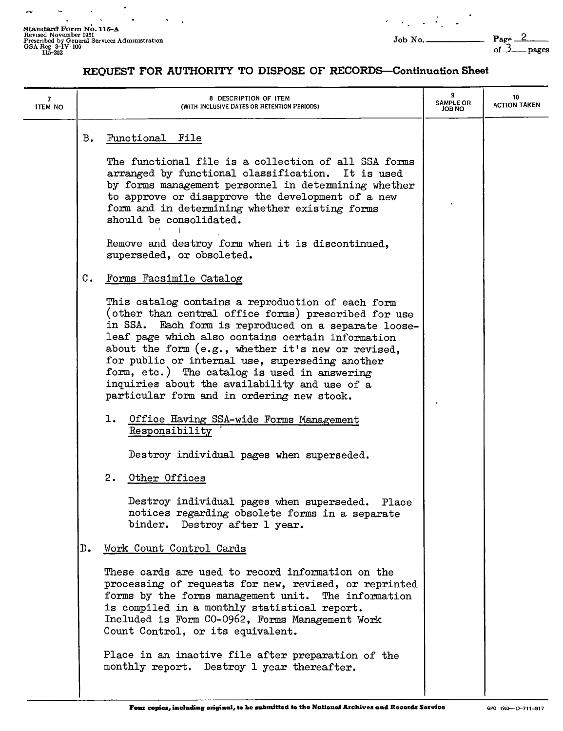Standard Form No. 115-A<br>Revised November 1951<br>Prescribed by General Services Administration<br>GSA Reg 3-IV-106<br>115-202<br>115-202

 $\blacksquare$ 

 $\bullet$ 

L.

.

pages

## **REQUEST FOR AUTHORITY TO DISPOSE OF RECORDS-Continuation Sheet**

| 7<br><b>ITEM NO</b> | 8 DESCRIPTION OF ITEM<br>(WITH INCLUSIVE DATES OR RETENTION PERIODS)                                                                                                                                                                                                                                                                                                                                                                                                                                                                                                                                                                                                                                                                                                                                    | 9<br><b>SAMPLE OR</b><br>ON BOL | 10<br><b>ACTION TAKEN</b> |
|---------------------|---------------------------------------------------------------------------------------------------------------------------------------------------------------------------------------------------------------------------------------------------------------------------------------------------------------------------------------------------------------------------------------------------------------------------------------------------------------------------------------------------------------------------------------------------------------------------------------------------------------------------------------------------------------------------------------------------------------------------------------------------------------------------------------------------------|---------------------------------|---------------------------|
|                     | в.<br>Functional File<br>The functional file is a collection of all SSA forms<br>arranged by functional classification. It is used<br>by forms management personnel in determining whether<br>to approve or disapprove the development of a new<br>form and in determining whether existing forms<br>should be consolidated.<br>Remove and destroy form when it is discontinued,<br>superseded, or obsoleted.                                                                                                                                                                                                                                                                                                                                                                                           |                                 |                           |
|                     | $\mathfrak{c}$ .<br>Forms Facsimile Catalog<br>This catalog contains a reproduction of each form<br>(other than central office forms) prescribed for use<br>in SSA. Each form is reproduced on a separate loose-<br>leaf page which also contains certain information<br>about the form (e.g., whether it's new or revised,<br>for public or internal use, superseding another<br>form, etc.) The catalog is used in answering<br>inquiries about the availability and use of a<br>particular form and in ordering new stock.<br>1. Office Having SSA-wide Forms Management<br>Responsibility<br>Destroy individual pages when superseded.<br>2.<br>Other Offices<br>Destroy individual pages when superseded. Place<br>notices regarding obsolete forms in a separate<br>binder. Destroy after 1 year. |                                 |                           |
|                     | Work Count Control Cards<br>D.<br>These cards are used to record information on the<br>processing of requests for new, revised, or reprinted<br>forms by the forms management unit. The information<br>is compiled in a monthly statistical report.<br>Included is Form CO-0962, Forms Management Work<br>Count Control, or its equivalent.<br>Place in an inactive file after preparation of the<br>monthly report. Destroy 1 year thereafter.                                                                                                                                                                                                                                                                                                                                                         |                                 |                           |